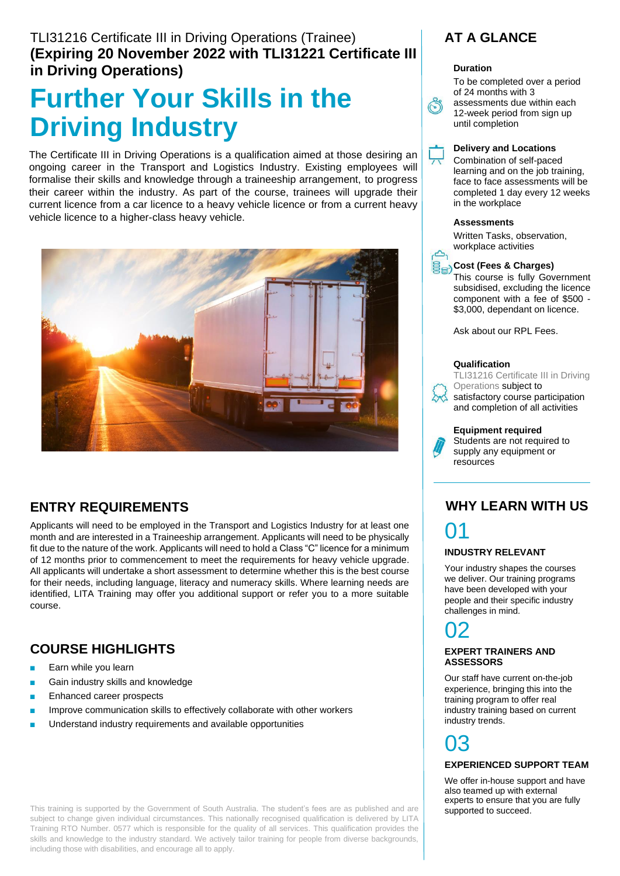### TLI31216 Certificate III in Driving Operations (Trainee) **(Expiring 20 November 2022 with TLI31221 Certificate III in Driving Operations)**

# **Further Your Skills in the Driving Industry**

The Certificate III in Driving Operations is a qualification aimed at those desiring an ongoing career in the Transport and Logistics Industry. Existing employees will formalise their skills and knowledge through a traineeship arrangement, to progress their career within the industry. As part of the course, trainees will upgrade their current licence from a car licence to a heavy vehicle licence or from a current heavy vehicle licence to a higher-class heavy vehicle.



## **ENTRY REQUIREMENTS**

Applicants will need to be employed in the Transport and Logistics Industry for at least one month and are interested in a Traineeship arrangement. Applicants will need to be physically fit due to the nature of the work. Applicants will need to hold a Class "C" licence for a minimum of 12 months prior to commencement to meet the requirements for heavy vehicle upgrade. All applicants will undertake a short assessment to determine whether this is the best course for their needs, including language, literacy and numeracy skills. Where learning needs are identified, LITA Training may offer you additional support or refer you to a more suitable course.

## **COURSE HIGHLIGHTS**

- Earn while you learn
- Gain industry skills and knowledge
- Enhanced career prospects
- Improve communication skills to effectively collaborate with other workers
- Understand industry requirements and available opportunities

This training is supported by the Government of South Australia. The student's fees are as published and are subject to change given individual circumstances. This nationally recognised qualification is delivered by LITA Training RTO Number. 0577 which is responsible for the quality of all services. This qualification provides the skills and knowledge to the industry standard. We actively tailor training for people from diverse backgrounds, including those with disabilities, and encourage all to apply.

## **AT A GLANCE**

### **Duration**

To be completed over a period of 24 months with 3

assessments due within each 12-week period from sign up until completion



Combination of self-paced learning and on the job training, face to face assessments will be completed 1 day every 12 weeks in the workplace

### **Assessments**

Written Tasks, observation, workplace activities



This course is fully Government subsidised, excluding the licence component with a fee of \$500 - \$3,000, dependant on licence.

Ask about our RPL Fees.

#### **Qualification**



 $\sim$ 

TLI31216 Certificate III in Driving Operations subject to

satisfactory course participation and completion of all activities

#### **Equipment required**

Students are not required to supply any equipment or resources

## **WHY LEARN WITH US** 01

## **INDUSTRY RELEVANT**

Your industry shapes the courses we deliver. Our training programs have been developed with your people and their specific industry challenges in mind.

## 02

### **EXPERT TRAINERS AND ASSESSORS**

Our staff have current on-the-job experience, bringing this into the training program to offer real industry training based on current industry trends.

# 03

### **EXPERIENCED SUPPORT TEAM**

We offer in-house support and have also teamed up with external experts to ensure that you are fully supported to succeed.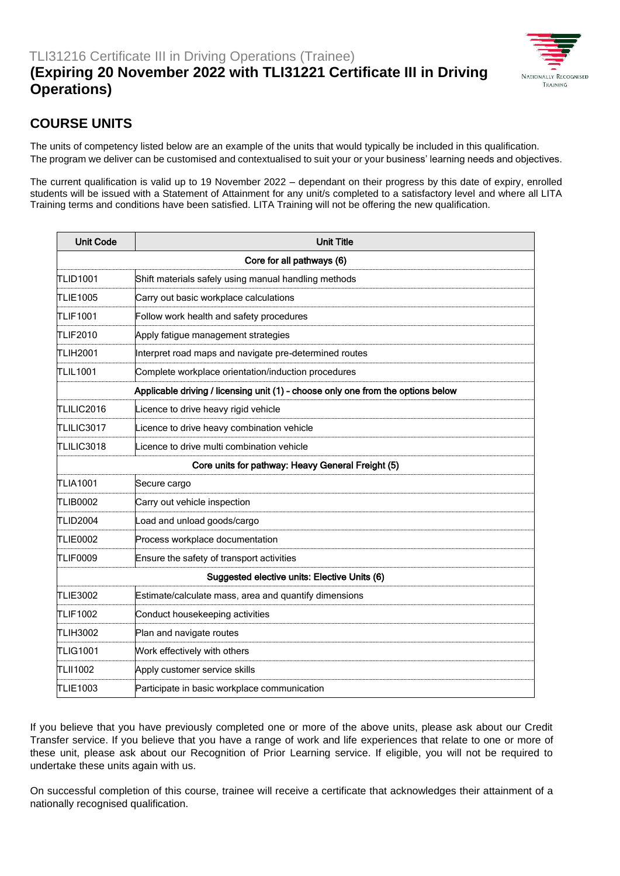

## **COURSE UNITS**

The units of competency listed below are an example of the units that would typically be included in this qualification. The program we deliver can be customised and contextualised to suit your or your business' learning needs and objectives.

The current qualification is valid up to 19 November 2022 – dependant on their progress by this date of expiry, enrolled students will be issued with a Statement of Attainment for any unit/s completed to a satisfactory level and where all LITA Training terms and conditions have been satisfied. LITA Training will not be offering the new qualification.

| <b>Unit Code</b>                                                                 | <b>Unit Title</b>                                      |
|----------------------------------------------------------------------------------|--------------------------------------------------------|
| Core for all pathways (6)                                                        |                                                        |
| TLID1001                                                                         | Shift materials safely using manual handling methods   |
| <b>TLIE1005</b>                                                                  | Carry out basic workplace calculations                 |
| <b>TLIF1001</b>                                                                  | Follow work health and safety procedures               |
| TLIF2010                                                                         | Apply fatigue management strategies                    |
| <b>TLIH2001</b>                                                                  | Interpret road maps and navigate pre-determined routes |
| TLIL1001                                                                         | Complete workplace orientation/induction procedures    |
| Applicable driving / licensing unit (1) - choose only one from the options below |                                                        |
| TLILIC2016                                                                       | Licence to drive heavy rigid vehicle                   |
| TLILIC3017                                                                       | Licence to drive heavy combination vehicle             |
| TLILIC3018                                                                       | Licence to drive multi combination vehicle             |
| Core units for pathway: Heavy General Freight (5)                                |                                                        |
| TLIA1001                                                                         | Secure cargo                                           |
| <b>TLIB0002</b>                                                                  | Carry out vehicle inspection                           |
| <b>TLID2004</b>                                                                  | Load and unload goods/cargo                            |
| <b>TLIE0002</b>                                                                  | Process workplace documentation                        |
| <b>TLIF0009</b>                                                                  | Ensure the safety of transport activities              |
| Suggested elective units: Elective Units (6)                                     |                                                        |
| <b>TLIE3002</b>                                                                  | Estimate/calculate mass, area and quantify dimensions  |
| <b>TLIF1002</b>                                                                  | Conduct housekeeping activities                        |
| <b>TLIH3002</b>                                                                  | Plan and navigate routes                               |
| <b>TLIG1001</b>                                                                  | Work effectively with others                           |
| TLII1002                                                                         | Apply customer service skills                          |
| TLIE1003                                                                         | Participate in basic workplace communication           |

If you believe that you have previously completed one or more of the above units, please ask about our Credit Transfer service. If you believe that you have a range of work and life experiences that relate to one or more of these unit, please ask about our Recognition of Prior Learning service. If eligible, you will not be required to undertake these units again with us.

On successful completion of this course, trainee will receive a certificate that acknowledges their attainment of a nationally recognised qualification.